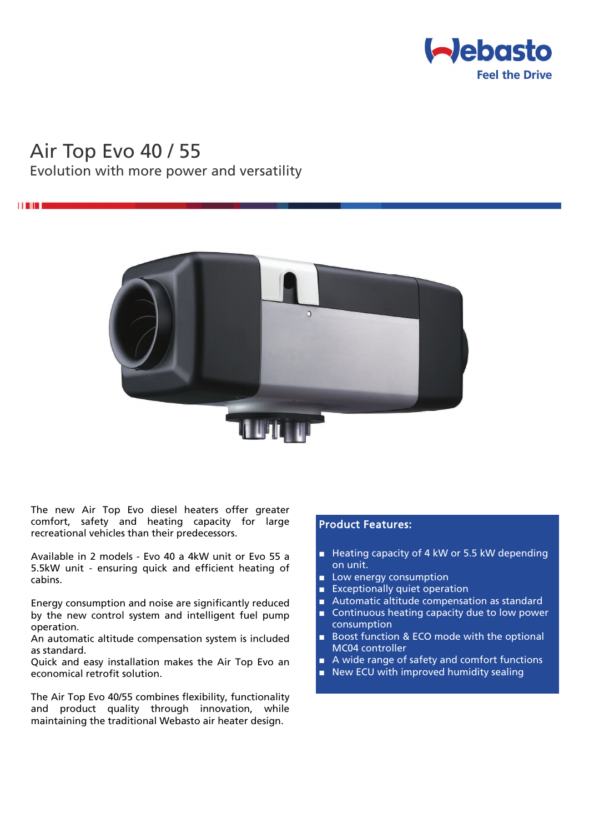

# Air Top Evo 40 / 55

## Evolution with more power and versatility



The new Air Top Evo diesel heaters offer greater comfort, safety and heating capacity for large recreational vehicles than their predecessors.

Available in 2 models - Evo 40 a 4kW unit or Evo 55 a 5.5kW unit - ensuring quick and efficient heating of cabins.

Energy consumption and noise are significantly reduced by the new control system and intelligent fuel pump operation.

An automatic altitude compensation system is included as standard.

Quick and easy installation makes the Air Top Evo an economical retrofit solution.

The Air Top Evo 40/55 combines flexibility, functionality and product quality through innovation, while maintaining the traditional Webasto air heater design.

### Product Features:

- Heating capacity of 4 kW or 5.5 kW depending on unit.
- Low energy consumption
- Exceptionally quiet operation
- Automatic altitude compensation as standard
- Continuous heating capacity due to low power consumption
- Boost function & ECO mode with the optional MC04 controller
- A wide range of safety and comfort functions
- New ECU with improved humidity sealing